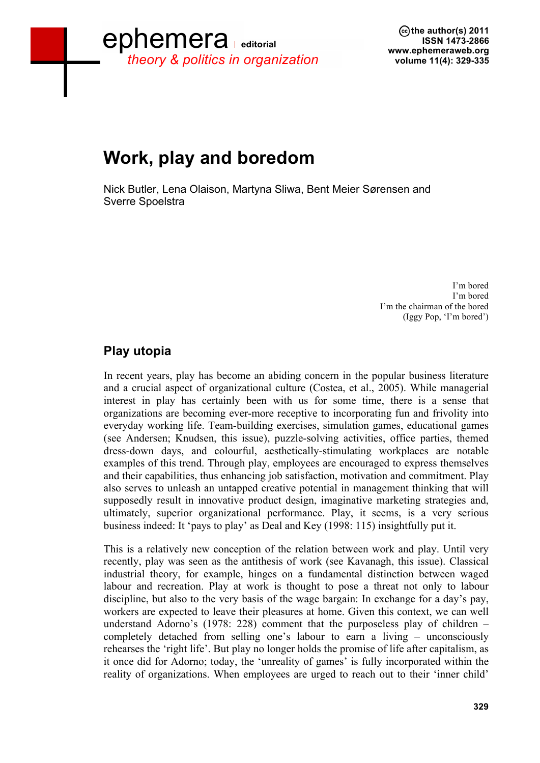## ephemera *theory & politics in organization*

**the author(s) 2011 ISSN 1473-2866 www.ephemeraweb.org volume 11(4): 329-335**

# **Work, play and boredom**

Nick Butler, Lena Olaison, Martyna Sliwa, Bent Meier Sørensen and Sverre Spoelstra

> I'm bored I'm bored I'm the chairman of the bored (Iggy Pop, 'I'm bored')

#### **Play utopia**

In recent years, play has become an abiding concern in the popular business literature and a crucial aspect of organizational culture (Costea, et al., 2005). While managerial interest in play has certainly been with us for some time, there is a sense that organizations are becoming ever-more receptive to incorporating fun and frivolity into everyday working life. Team-building exercises, simulation games, educational games (see Andersen; Knudsen, this issue), puzzle-solving activities, office parties, themed dress-down days, and colourful, aesthetically-stimulating workplaces are notable examples of this trend. Through play, employees are encouraged to express themselves and their capabilities, thus enhancing job satisfaction, motivation and commitment. Play also serves to unleash an untapped creative potential in management thinking that will supposedly result in innovative product design, imaginative marketing strategies and, ultimately, superior organizational performance. Play, it seems, is a very serious business indeed: It 'pays to play' as Deal and Key (1998: 115) insightfully put it.

This is a relatively new conception of the relation between work and play. Until very recently, play was seen as the antithesis of work (see Kavanagh, this issue). Classical industrial theory, for example, hinges on a fundamental distinction between waged labour and recreation. Play at work is thought to pose a threat not only to labour discipline, but also to the very basis of the wage bargain: In exchange for a day's pay, workers are expected to leave their pleasures at home. Given this context, we can well understand Adorno's (1978: 228) comment that the purposeless play of children – completely detached from selling one's labour to earn a living – unconsciously rehearses the 'right life'. But play no longer holds the promise of life after capitalism, as it once did for Adorno; today, the 'unreality of games' is fully incorporated within the reality of organizations. When employees are urged to reach out to their 'inner child'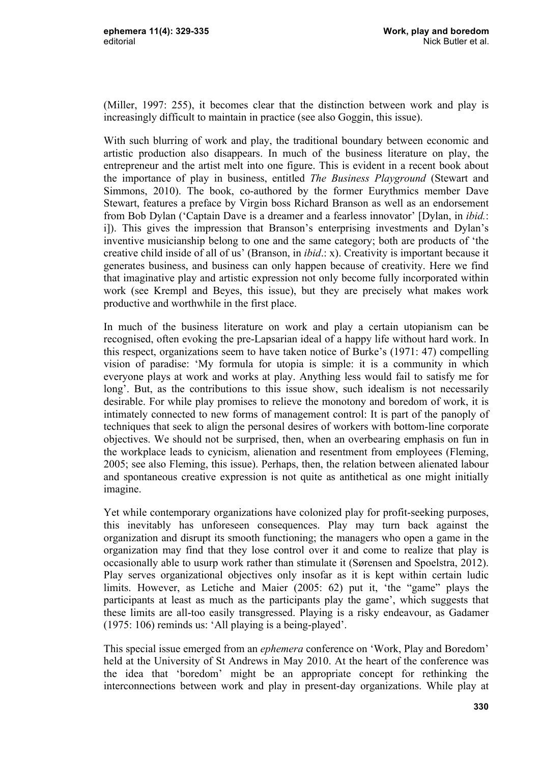(Miller, 1997: 255), it becomes clear that the distinction between work and play is increasingly difficult to maintain in practice (see also Goggin, this issue).

With such blurring of work and play, the traditional boundary between economic and artistic production also disappears. In much of the business literature on play, the entrepreneur and the artist melt into one figure. This is evident in a recent book about the importance of play in business, entitled *The Business Playground* (Stewart and Simmons, 2010). The book, co-authored by the former Eurythmics member Dave Stewart, features a preface by Virgin boss Richard Branson as well as an endorsement from Bob Dylan ('Captain Dave is a dreamer and a fearless innovator' [Dylan, in *ibid.*: i]). This gives the impression that Branson's enterprising investments and Dylan's inventive musicianship belong to one and the same category; both are products of 'the creative child inside of all of us' (Branson, in *ibid*.: x). Creativity is important because it generates business, and business can only happen because of creativity. Here we find that imaginative play and artistic expression not only become fully incorporated within work (see Krempl and Beyes, this issue), but they are precisely what makes work productive and worthwhile in the first place.

In much of the business literature on work and play a certain utopianism can be recognised, often evoking the pre-Lapsarian ideal of a happy life without hard work. In this respect, organizations seem to have taken notice of Burke's (1971: 47) compelling vision of paradise: 'My formula for utopia is simple: it is a community in which everyone plays at work and works at play. Anything less would fail to satisfy me for long'. But, as the contributions to this issue show, such idealism is not necessarily desirable. For while play promises to relieve the monotony and boredom of work, it is intimately connected to new forms of management control: It is part of the panoply of techniques that seek to align the personal desires of workers with bottom-line corporate objectives. We should not be surprised, then, when an overbearing emphasis on fun in the workplace leads to cynicism, alienation and resentment from employees (Fleming, 2005; see also Fleming, this issue). Perhaps, then, the relation between alienated labour and spontaneous creative expression is not quite as antithetical as one might initially imagine.

Yet while contemporary organizations have colonized play for profit-seeking purposes, this inevitably has unforeseen consequences. Play may turn back against the organization and disrupt its smooth functioning; the managers who open a game in the organization may find that they lose control over it and come to realize that play is occasionally able to usurp work rather than stimulate it (Sørensen and Spoelstra, 2012). Play serves organizational objectives only insofar as it is kept within certain ludic limits. However, as Letiche and Maier (2005: 62) put it, 'the "game" plays the participants at least as much as the participants play the game', which suggests that these limits are all-too easily transgressed. Playing is a risky endeavour, as Gadamer (1975: 106) reminds us: 'All playing is a being-played'.

This special issue emerged from an *ephemera* conference on 'Work, Play and Boredom' held at the University of St Andrews in May 2010. At the heart of the conference was the idea that 'boredom' might be an appropriate concept for rethinking the interconnections between work and play in present-day organizations. While play at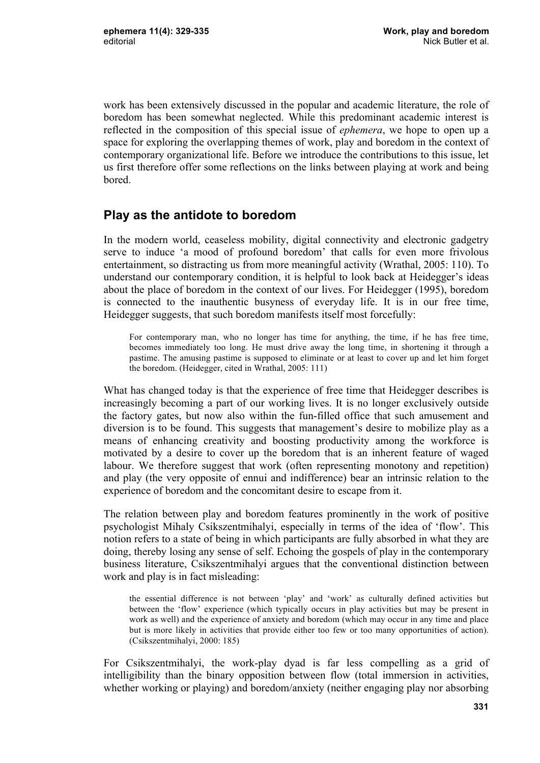work has been extensively discussed in the popular and academic literature, the role of boredom has been somewhat neglected. While this predominant academic interest is reflected in the composition of this special issue of *ephemera*, we hope to open up a space for exploring the overlapping themes of work, play and boredom in the context of contemporary organizational life. Before we introduce the contributions to this issue, let us first therefore offer some reflections on the links between playing at work and being bored.

#### **Play as the antidote to boredom**

In the modern world, ceaseless mobility, digital connectivity and electronic gadgetry serve to induce 'a mood of profound boredom' that calls for even more frivolous entertainment, so distracting us from more meaningful activity (Wrathal, 2005: 110). To understand our contemporary condition, it is helpful to look back at Heidegger's ideas about the place of boredom in the context of our lives. For Heidegger (1995), boredom is connected to the inauthentic busyness of everyday life. It is in our free time, Heidegger suggests, that such boredom manifests itself most forcefully:

For contemporary man, who no longer has time for anything, the time, if he has free time, becomes immediately too long. He must drive away the long time, in shortening it through a pastime. The amusing pastime is supposed to eliminate or at least to cover up and let him forget the boredom. (Heidegger, cited in Wrathal, 2005: 111)

What has changed today is that the experience of free time that Heidegger describes is increasingly becoming a part of our working lives. It is no longer exclusively outside the factory gates, but now also within the fun-filled office that such amusement and diversion is to be found. This suggests that management's desire to mobilize play as a means of enhancing creativity and boosting productivity among the workforce is motivated by a desire to cover up the boredom that is an inherent feature of waged labour. We therefore suggest that work (often representing monotony and repetition) and play (the very opposite of ennui and indifference) bear an intrinsic relation to the experience of boredom and the concomitant desire to escape from it.

The relation between play and boredom features prominently in the work of positive psychologist Mihaly Csikszentmihalyi, especially in terms of the idea of 'flow'. This notion refers to a state of being in which participants are fully absorbed in what they are doing, thereby losing any sense of self. Echoing the gospels of play in the contemporary business literature, Csikszentmihalyi argues that the conventional distinction between work and play is in fact misleading:

the essential difference is not between 'play' and 'work' as culturally defined activities but between the 'flow' experience (which typically occurs in play activities but may be present in work as well) and the experience of anxiety and boredom (which may occur in any time and place but is more likely in activities that provide either too few or too many opportunities of action). (Csikszentmihalyi, 2000: 185)

For Csikszentmihalyi, the work-play dyad is far less compelling as a grid of intelligibility than the binary opposition between flow (total immersion in activities, whether working or playing) and boredom/anxiety (neither engaging play nor absorbing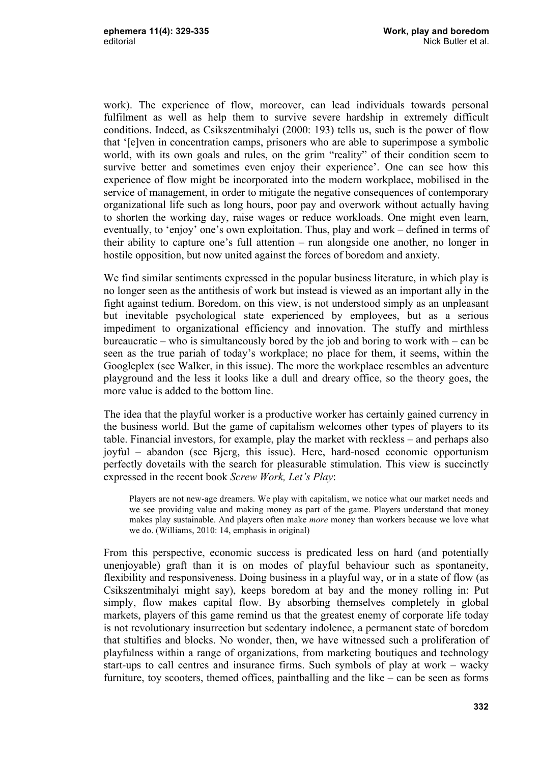work). The experience of flow, moreover, can lead individuals towards personal fulfilment as well as help them to survive severe hardship in extremely difficult conditions. Indeed, as Csikszentmihalyi (2000: 193) tells us, such is the power of flow that '[e]ven in concentration camps, prisoners who are able to superimpose a symbolic world, with its own goals and rules, on the grim "reality" of their condition seem to survive better and sometimes even enjoy their experience'. One can see how this experience of flow might be incorporated into the modern workplace, mobilised in the service of management, in order to mitigate the negative consequences of contemporary organizational life such as long hours, poor pay and overwork without actually having to shorten the working day, raise wages or reduce workloads. One might even learn, eventually, to 'enjoy' one's own exploitation. Thus, play and work – defined in terms of their ability to capture one's full attention – run alongside one another, no longer in hostile opposition, but now united against the forces of boredom and anxiety.

We find similar sentiments expressed in the popular business literature, in which play is no longer seen as the antithesis of work but instead is viewed as an important ally in the fight against tedium. Boredom, on this view, is not understood simply as an unpleasant but inevitable psychological state experienced by employees, but as a serious impediment to organizational efficiency and innovation. The stuffy and mirthless bureaucratic – who is simultaneously bored by the job and boring to work with – can be seen as the true pariah of today's workplace; no place for them, it seems, within the Googleplex (see Walker, in this issue). The more the workplace resembles an adventure playground and the less it looks like a dull and dreary office, so the theory goes, the more value is added to the bottom line.

The idea that the playful worker is a productive worker has certainly gained currency in the business world. But the game of capitalism welcomes other types of players to its table. Financial investors, for example, play the market with reckless – and perhaps also joyful – abandon (see Bjerg, this issue). Here, hard-nosed economic opportunism perfectly dovetails with the search for pleasurable stimulation. This view is succinctly expressed in the recent book *Screw Work, Let's Play*:

Players are not new-age dreamers. We play with capitalism, we notice what our market needs and we see providing value and making money as part of the game. Players understand that money makes play sustainable. And players often make *more* money than workers because we love what we do. (Williams, 2010: 14, emphasis in original)

From this perspective, economic success is predicated less on hard (and potentially unenjoyable) graft than it is on modes of playful behaviour such as spontaneity, flexibility and responsiveness. Doing business in a playful way, or in a state of flow (as Csikszentmihalyi might say), keeps boredom at bay and the money rolling in: Put simply, flow makes capital flow. By absorbing themselves completely in global markets, players of this game remind us that the greatest enemy of corporate life today is not revolutionary insurrection but sedentary indolence, a permanent state of boredom that stultifies and blocks. No wonder, then, we have witnessed such a proliferation of playfulness within a range of organizations, from marketing boutiques and technology start-ups to call centres and insurance firms. Such symbols of play at work – wacky furniture, toy scooters, themed offices, paintballing and the like – can be seen as forms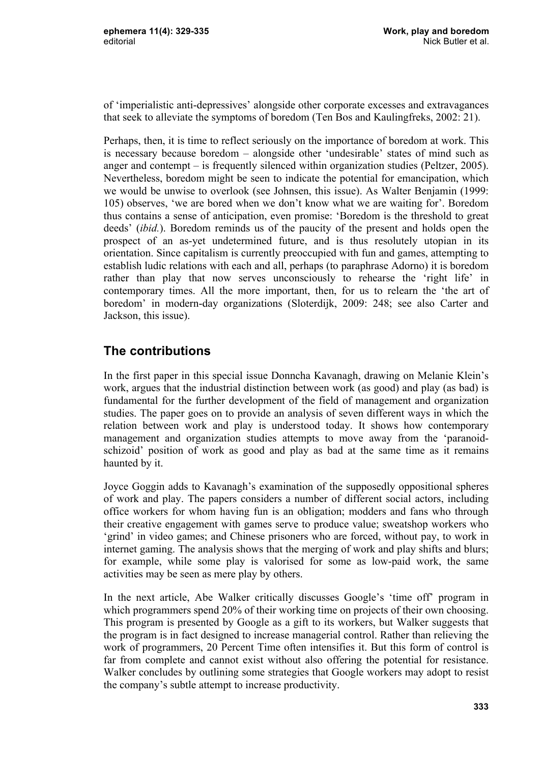of 'imperialistic anti-depressives' alongside other corporate excesses and extravagances that seek to alleviate the symptoms of boredom (Ten Bos and Kaulingfreks, 2002: 21).

Perhaps, then, it is time to reflect seriously on the importance of boredom at work. This is necessary because boredom – alongside other 'undesirable' states of mind such as anger and contempt – is frequently silenced within organization studies (Peltzer, 2005). Nevertheless, boredom might be seen to indicate the potential for emancipation, which we would be unwise to overlook (see Johnsen, this issue). As Walter Benjamin (1999: 105) observes, 'we are bored when we don't know what we are waiting for'. Boredom thus contains a sense of anticipation, even promise: 'Boredom is the threshold to great deeds' (*ibid.*). Boredom reminds us of the paucity of the present and holds open the prospect of an as-yet undetermined future, and is thus resolutely utopian in its orientation. Since capitalism is currently preoccupied with fun and games, attempting to establish ludic relations with each and all, perhaps (to paraphrase Adorno) it is boredom rather than play that now serves unconsciously to rehearse the 'right life' in contemporary times. All the more important, then, for us to relearn the 'the art of boredom' in modern-day organizations (Sloterdijk, 2009: 248; see also Carter and Jackson, this issue).

### **The contributions**

In the first paper in this special issue Donncha Kavanagh, drawing on Melanie Klein's work, argues that the industrial distinction between work (as good) and play (as bad) is fundamental for the further development of the field of management and organization studies. The paper goes on to provide an analysis of seven different ways in which the relation between work and play is understood today. It shows how contemporary management and organization studies attempts to move away from the 'paranoidschizoid' position of work as good and play as bad at the same time as it remains haunted by it.

Joyce Goggin adds to Kavanagh's examination of the supposedly oppositional spheres of work and play. The papers considers a number of different social actors, including office workers for whom having fun is an obligation; modders and fans who through their creative engagement with games serve to produce value; sweatshop workers who 'grind' in video games; and Chinese prisoners who are forced, without pay, to work in internet gaming. The analysis shows that the merging of work and play shifts and blurs; for example, while some play is valorised for some as low-paid work, the same activities may be seen as mere play by others.

In the next article, Abe Walker critically discusses Google's 'time off' program in which programmers spend 20% of their working time on projects of their own choosing. This program is presented by Google as a gift to its workers, but Walker suggests that the program is in fact designed to increase managerial control. Rather than relieving the work of programmers, 20 Percent Time often intensifies it. But this form of control is far from complete and cannot exist without also offering the potential for resistance. Walker concludes by outlining some strategies that Google workers may adopt to resist the company's subtle attempt to increase productivity.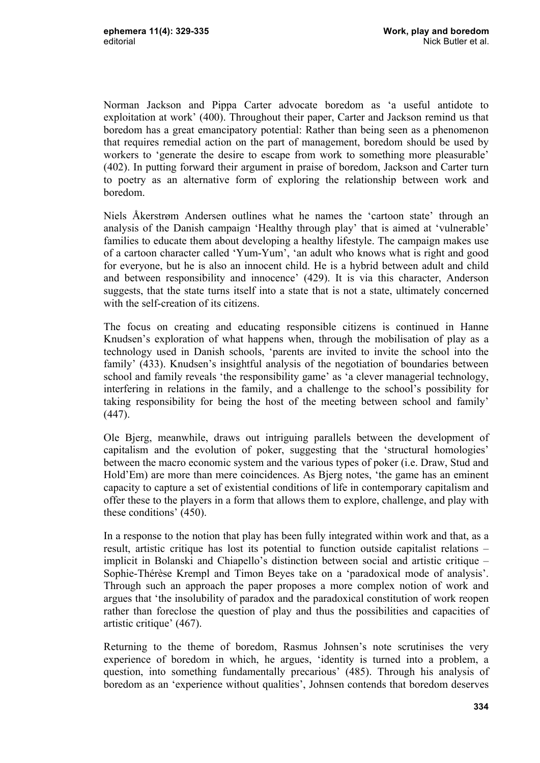Norman Jackson and Pippa Carter advocate boredom as 'a useful antidote to exploitation at work' (400). Throughout their paper, Carter and Jackson remind us that boredom has a great emancipatory potential: Rather than being seen as a phenomenon that requires remedial action on the part of management, boredom should be used by workers to 'generate the desire to escape from work to something more pleasurable' (402). In putting forward their argument in praise of boredom, Jackson and Carter turn to poetry as an alternative form of exploring the relationship between work and boredom.

Niels Åkerstrøm Andersen outlines what he names the 'cartoon state' through an analysis of the Danish campaign 'Healthy through play' that is aimed at 'vulnerable' families to educate them about developing a healthy lifestyle. The campaign makes use of a cartoon character called 'Yum-Yum', 'an adult who knows what is right and good for everyone, but he is also an innocent child. He is a hybrid between adult and child and between responsibility and innocence' (429). It is via this character, Anderson suggests, that the state turns itself into a state that is not a state, ultimately concerned with the self-creation of its citizens.

The focus on creating and educating responsible citizens is continued in Hanne Knudsen's exploration of what happens when, through the mobilisation of play as a technology used in Danish schools, 'parents are invited to invite the school into the family' (433). Knudsen's insightful analysis of the negotiation of boundaries between school and family reveals 'the responsibility game' as 'a clever managerial technology, interfering in relations in the family, and a challenge to the school's possibility for taking responsibility for being the host of the meeting between school and family' (447).

Ole Bjerg, meanwhile, draws out intriguing parallels between the development of capitalism and the evolution of poker, suggesting that the 'structural homologies' between the macro economic system and the various types of poker (i.e. Draw, Stud and Hold'Em) are more than mere coincidences. As Bjerg notes, 'the game has an eminent capacity to capture a set of existential conditions of life in contemporary capitalism and offer these to the players in a form that allows them to explore, challenge, and play with these conditions' (450).

In a response to the notion that play has been fully integrated within work and that, as a result, artistic critique has lost its potential to function outside capitalist relations – implicit in Bolanski and Chiapello's distinction between social and artistic critique – Sophie-Thérèse Krempl and Timon Beyes take on a 'paradoxical mode of analysis'. Through such an approach the paper proposes a more complex notion of work and argues that 'the insolubility of paradox and the paradoxical constitution of work reopen rather than foreclose the question of play and thus the possibilities and capacities of artistic critique' (467).

Returning to the theme of boredom, Rasmus Johnsen's note scrutinises the very experience of boredom in which, he argues, 'identity is turned into a problem, a question, into something fundamentally precarious' (485). Through his analysis of boredom as an 'experience without qualities', Johnsen contends that boredom deserves